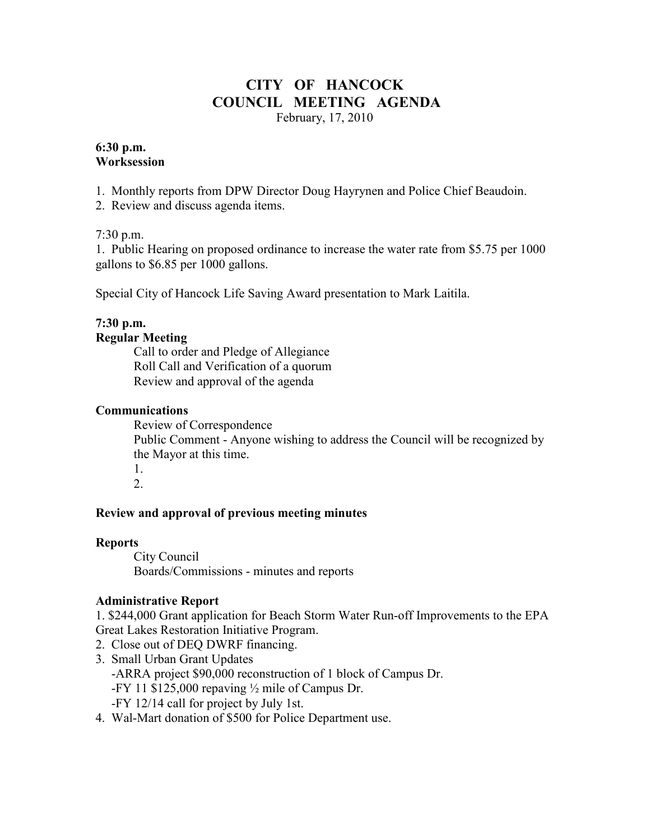# **CITY OF HANCOCK COUNCIL MEETING AGENDA**

February, 17, 2010

#### **6:30 p.m. Worksession**

1. Monthly reports from DPW Director Doug Hayrynen and Police Chief Beaudoin.

2. Review and discuss agenda items.

### 7:30 p.m.

1. Public Hearing on proposed ordinance to increase the water rate from \$5.75 per 1000 gallons to \$6.85 per 1000 gallons.

Special City of Hancock Life Saving Award presentation to Mark Laitila.

## **7:30 p.m.**

#### **Regular Meeting**

 Call to order and Pledge of Allegiance Roll Call and Verification of a quorum Review and approval of the agenda

#### **Communications**

 Review of Correspondence Public Comment - Anyone wishing to address the Council will be recognized by the Mayor at this time. 1.

2.

### **Review and approval of previous meeting minutes**

### **Reports**

City Council Boards/Commissions - minutes and reports

### **Administrative Report**

1. \$244,000 Grant application for Beach Storm Water Run-off Improvements to the EPA Great Lakes Restoration Initiative Program.

- 2. Close out of DEQ DWRF financing. 3. Small Urban Grant Updates
- -ARRA project \$90,000 reconstruction of 1 block of Campus Dr. -FY 11 \$125,000 repaving ½ mile of Campus Dr.
	- -FY 12/14 call for project by July 1st.
- 4. Wal-Mart donation of \$500 for Police Department use.